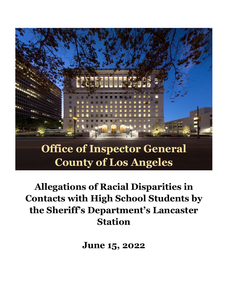

# **Allegations of Racial Disparities in Contacts with High School Students by the Sheriff's Department's Lancaster Station**

**June 15, 2022**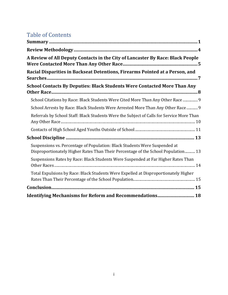# Table of Contents

| A Review of All Deputy Contacts in the City of Lancaster By Race: Black People                                                                                  |
|-----------------------------------------------------------------------------------------------------------------------------------------------------------------|
| Racial Disparities in Backseat Detentions, Firearms Pointed at a Person, and                                                                                    |
| <b>School Contacts By Deputies: Black Students Were Contacted More Than Any</b>                                                                                 |
| School Citations by Race: Black Students Were Cited More Than Any Other Race  9                                                                                 |
| School Arrests by Race: Black Students Were Arrested More Than Any Other Race  9                                                                                |
| Referrals by School Staff: Black Students Were the Subject of Calls for Service More Than                                                                       |
|                                                                                                                                                                 |
|                                                                                                                                                                 |
| Suspensions vs. Percentage of Population: Black Students Were Suspended at<br>Disproportionately Higher Rates Than Their Percentage of the School Population 13 |
| Suspensions Rates by Race: Black Students Were Suspended at Far Higher Rates Than                                                                               |
| Total Expulsions by Race: Black Students Were Expelled at Disproportionately Higher                                                                             |
|                                                                                                                                                                 |
| <b>Identifying Mechanisms for Reform and Recommendations 18</b>                                                                                                 |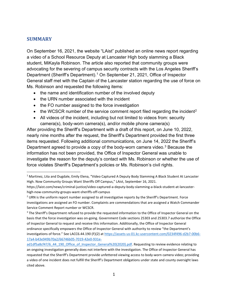#### <span id="page-2-0"></span>**SUMMARY**

On September 16, 2021, the website "LAist" published an online news report regarding a video of a School Resource Deputy at Lancaster High body slamming a Black student, MiKayla Robinson. The article also reported that community groups were advocating for the severing of campus security contracts with the Los Angeles Sheriff's Department (Sheriff's Department). [1](#page-2-1) On September 21, 2021, Office of Inspector General staff met with the Captain of the Lancaster station regarding the use of force on Ms. Robinson and requested the following items:

- the name and identification number of the involved deputy
- the URN number associated with the incident
- the FO number assigned to the force investigation
- the WCSCR number of the service comment report filed regarding the incident<sup>[2](#page-2-2)</sup>
- All videos of the incident, including but not limited to videos from: security camera(s), body-worn camera(s), and/or mobile phone camera(s)

After providing the Sheriff's Department with a draft of this report, on June 10, 2022, nearly nine months after the request, the Sheriff's Department provided the first three items requested. Following additional communications, on June 14, 2022 the Sheriff's Department agreed to provide a copy of the body-worn camera video.<sup>[3](#page-2-3)</sup> Because the information has not been provided, the Office of Inspector General was unable to investigate the reason for the deputy's contact with Ms. Robinson or whether the use of force violates Sheriff's Department's policies or Ms. Robinson's civil rights.

<span id="page-2-1"></span> $1$  Martinez, Lita and Dugdale, Emily Elena, "Video Captured A Deputy Body Slamming A Black Student At Lancaster High. Now Community Groups Want Sheriffs Off Campus," LAist, September 16, 2021.

https://laist.com/news/criminal-justice/video-captured-a-deputy-body-slamming-a-black-student-at-lancasterhigh-now-community-groups-want-sheriffs-off-campus

<span id="page-2-2"></span> $<sup>2</sup>$  URN is the uniform report number assigned to all investigative reports by the Sheriff's Department. Force</sup> investigations are assigned an FO number. Complaints are commendations that are assigned a Watch Commander Service Comment Report number or WCSCR.

<span id="page-2-3"></span><sup>&</sup>lt;sup>3</sup> The Sheriff's Department refused to provide the requested information to the Office of Inspector General on the basis that the force investigation was on-going. Government Code sections 25303 and 25303.7 authorize the Office of Inspector General to request and receive this information. Additionally, the Office of Inspector General ordinance specifically empowers the Office of Inspector General with authority to review "the Department's investigations of force." See LACC6.44.190 (F)(2) a[t https://assets-us-01.kc-usercontent.com/0234f496-d2b7-00b6-](https://assets-us-01.kc-usercontent.com/0234f496-d2b7-00b6-17a4-b43e949b70a2/66746b05-7019-42e0-931e-ad1df5a8cf47/6_44_190_Office_of_Inspector_General%20(2020).pdf) [17a4-b43e949b70a2/66746b05-7019-42e0-931e-](https://assets-us-01.kc-usercontent.com/0234f496-d2b7-00b6-17a4-b43e949b70a2/66746b05-7019-42e0-931e-ad1df5a8cf47/6_44_190_Office_of_Inspector_General%20(2020).pdf)

[ad1df5a8cf47/6\\_44\\_190\\_Office\\_of\\_Inspector\\_General%20\(2020\).pdf.](https://assets-us-01.kc-usercontent.com/0234f496-d2b7-00b6-17a4-b43e949b70a2/66746b05-7019-42e0-931e-ad1df5a8cf47/6_44_190_Office_of_Inspector_General%20(2020).pdf) Requesting to review evidence relating to an ongoing investigation generally does not interfere with the investigation. The Office of Inspector General has requested that the Sheriff's Department provide unfettered viewing access to body-worn camera video; providing a video of one incident does not fulfill the Sheriff's Department obligations under state and county oversight laws cited above.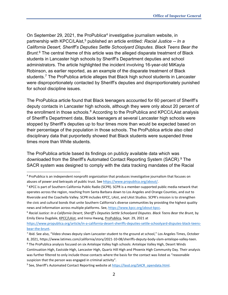On September 29, 2021, the ProPublica[4](#page-3-0) investigative journalism website, in partnership with KPCC/LAist, [5](#page-3-1) published an article entitled: *Racial Justice -- In a California Desert, Sheriff's Deputies Settle Schoolyard Disputes. Black Teens Bear the Brunt*. [6](#page-3-2) The central theme of this article was the alleged disparate treatment of Black students in Lancaster high schools by Sheriff's Department deputies and school administrators. The article highlighted the incident involving 16-year-old MiKayla Robinson, as earlier reported, as an example of the disparate treatment of Black students.[7](#page-3-3) The ProPublica article alleges that Black high school students in Lancaster were disproportionately contacted by Sheriff's deputies and disproportionately punished for school discipline issues.

The ProPublica article found that Black teenagers accounted for 60 percent of Sheriff's deputy contacts in Lancaster high schools, although they were only about 20 percent of the enrollment in those schools.<sup>[8](#page-3-4)</sup> According to the ProPublica and KPCC/LAist analysis of Sheriff's Department data, Black teenagers at several Lancaster high schools were stopped by Sheriff's deputies up to four times more than would be expected based on their percentage of the population in those schools. The ProPublica article also cited disciplinary data that purportedly showed that Black students were suspended three times more than White students.

The ProPublica article based its findings on publicly available data which was downloaded from the Sheriff's Automated Contact Reporting System (SACR). [9](#page-3-5) The SACR system was designed to comply with the data tracking mandates of the Racial

[https://www.propublica.org/article/in-a-california-desert-sheriffs-deputies-settle-schoolyard-disputes-black-teens](https://www.propublica.org/article/in-a-california-desert-sheriffs-deputies-settle-schoolyard-disputes-black-teens-bear-the-brunt)[bear-the-brunt.](https://www.propublica.org/article/in-a-california-desert-sheriffs-deputies-settle-schoolyard-disputes-black-teens-bear-the-brunt)

<span id="page-3-0"></span><sup>&</sup>lt;sup>4</sup> ProPublica is an independent nonprofit organization that produces investigative journalism that focuses on abuses of power and betrayals of public trust. See [https://www.propublica.org/about/.](https://www.propublica.org/about/) 

<span id="page-3-1"></span><sup>5</sup> KPCC is part of Southern California Public Radio (SCPR). SCPR is a member-supported public media network that operates across the region, reaching from Santa Barbara down to Los Angeles and Orange Counties, and out to Riverside and the Coachella Valley. SCPR includes KPCC, LAist, and LAist Studios. SCPR's mission is to strengthen the civic and cultural bonds that unite Southern California's diverse communities by providing the highest quality news and information across multiple platforms. See, [https://www.kpcc.org/about-kpcc.](https://www.kpcc.org/about-kpcc)

<span id="page-3-2"></span><sup>6</sup> *Racial Justice: In a California Desert, Sheriff's Deputies Settle Schoolyard Disputes. Black Teens Bear the Brunt*, by Emily Elena Dugdale, KPCC/LAist, and Irena Hwang, ProPublica, Sept. 29, 2021 at

<span id="page-3-3"></span><sup>&</sup>lt;sup>7</sup> Ibid. See also, "Video shows deputy slam Lancaster student to the ground at school," Los Angeles Times, October 8, 2021, https://www.latimes.com/california/story/2021-10-08/sheriffs-deputy-body-slam-antelope-valley-teen.

<span id="page-3-4"></span><sup>8</sup> The ProPublica analysis focused on six Antelope Valley high schools: Antelope Valley High, Desert Winds Continuation High, Eastside High, Lancaster High, Quartz Hill High and Phoenix High Community Day. Their analysis was further filtered to only include those contacts where the basis for the contact was listed as "reasonable suspicion that the person was engaged in criminal activity".

<span id="page-3-5"></span><sup>9</sup> See, Sheriff's Automated Contact Reporting website at [https://lasd.org/SACR\\_opendata.html.](https://lasd.org/SACR_opendata.html)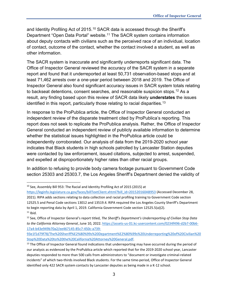and Identity Profiling Act of 2015.<sup>[10](#page-4-0)</sup> SACR data is accessed through the Sheriff's Department "Open Data Portal" website.<sup>[11](#page-4-1)</sup> The SACR system contains information about deputy contacts with civilians such as the perceived race of an individual, location of contact, outcome of the contact, whether the contact involved a student, as well as other information.

The SACR system is inaccurate and significantly underreports significant data. The Office of Inspector General reviewed the accuracy of the SACR system in a separate report and found that it underreported at least 50,731 observation-based stops and at least 71,462 arrests over a one-year period between 2018 and 2019. The Office of Inspector General also found significant accuracy issues in SACR system totals relating to backseat detentions, consent searches, and reasonable suspicion stops.<sup>12</sup> As a result, any finding based upon this review of SACR data likely **understates** the issues identified in this report, particularly those relating to racial disparities. $^{\rm 13}$  $^{\rm 13}$  $^{\rm 13}$ 

In response to the ProPublica article, the Office of Inspector General conducted an independent review of the disparate treatment cited by ProPublica's reporting. This report does not seek to replicate the ProPublica analysis. Rather, the Office of Inspector General conducted an independent review of publicly available information to determine whether the statistical issues highlighted in the ProPublica article could be independently corroborated. Our analysis of data from the 2019-2020 school year indicates that Black students in high schools patrolled by Lancaster Station deputies were contacted by law enforcement, issued citations, subjected to arrest, suspended, and expelled at disproportionately higher rates than other racial groups.

In addition to refusing to provide body camera footage pursuant to Government Code section 25303 and 25303.7, the Los Angeles Sheriff's Department denied the validity of

<span id="page-4-0"></span><sup>&</sup>lt;sup>10</sup> See, Assembly Bill 953: The Racial and Identity Profiling Act of 2015 (2015) at

[https://leginfo.legislature.ca.gov/faces/billTextClient.xhtml?bill\\_id=201520160AB953](https://leginfo.legislature.ca.gov/faces/billTextClient.xhtml?bill_id=201520160AB953) (Accessed December 28, 2021). RIPA adds sections relating to data collection and racial profiling training to Government Code section 12525.5 and Penal Code sections 13012 and 13519.4. RIPA required the Los Angeles County Sheriff's Department to begin reporting data by April 1, 2019. California Government Code section 12525.5(a)(2).  $11$  Ibid.

<span id="page-4-2"></span><span id="page-4-1"></span><sup>12</sup> See, Office of Inspector General's report titled, *The Sheriff's Department's Underreporting of Civilian Stop Data to the California Attorney General*, June 10, 2022. [https://assets-us-01.kc-usercontent.com/0234f496-d2b7-00b6-](https://assets-us-01.kc-usercontent.com/0234f496-d2b7-00b6-17a4-b43e949b70a2/ee467145-85c7-450c-a739-93e1f1d79f78/The%20Sheriff%E2%80%99s%20Department%E2%80%99s%20Underreporting%20of%20Civilian%20Stop%20Data%20to%20the%20California%20Attorney%20General.pdf) [17a4-b43e949b70a2/ee467145-85c7-450c-a739-](https://assets-us-01.kc-usercontent.com/0234f496-d2b7-00b6-17a4-b43e949b70a2/ee467145-85c7-450c-a739-93e1f1d79f78/The%20Sheriff%E2%80%99s%20Department%E2%80%99s%20Underreporting%20of%20Civilian%20Stop%20Data%20to%20the%20California%20Attorney%20General.pdf)

[<sup>93</sup>e1f1d79f78/The%20Sheriff%E2%80%99s%20Department%E2%80%99s%20Underreporting%20of%20Civilian%20](https://assets-us-01.kc-usercontent.com/0234f496-d2b7-00b6-17a4-b43e949b70a2/ee467145-85c7-450c-a739-93e1f1d79f78/The%20Sheriff%E2%80%99s%20Department%E2%80%99s%20Underreporting%20of%20Civilian%20Stop%20Data%20to%20the%20California%20Attorney%20General.pdf) [Stop%20Data%20to%20the%20California%20Attorney%20General.pdf.](https://assets-us-01.kc-usercontent.com/0234f496-d2b7-00b6-17a4-b43e949b70a2/ee467145-85c7-450c-a739-93e1f1d79f78/The%20Sheriff%E2%80%99s%20Department%E2%80%99s%20Underreporting%20of%20Civilian%20Stop%20Data%20to%20the%20California%20Attorney%20General.pdf)

<span id="page-4-3"></span><sup>&</sup>lt;sup>13</sup> The Office of Inspector General found indications that underreporting may have occurred during the period of our analysis as evidenced by the ProPublica article which reported that for the 2019-2020 school year, Lancaster deputies responded to more than 500 calls from administrators to "document or investigate criminal-related incidents" of which two-thirds involved Black students. For the same time-period, Office of Inspector General identified only 422 SACR system contacts by Lancaster deputies as being made in a K-12 school.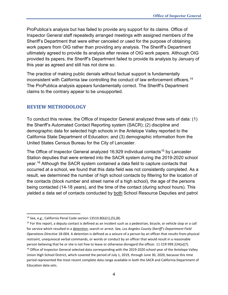ProPublica's analysis but has failed to provide any support for its claims. Office of Inspector General staff repeatedly arranged meetings with assigned members of the Sheriff's Department that were either canceled or used for the purpose of obtaining work papers from OIG rather than providing any analysis. The Sheriff's Department ultimately agreed to provide its analysis after review of OIG work papers. Although OIG provided its papers, the Sheriff's Department failed to provide its analysis by January of this year as agreed and still has not done so.

The practice of making public denials without factual support is fundamentally inconsistent with California law controlling the conduct of law enforcement officers.<sup>[14](#page-5-1)</sup> The ProPublica analysis appears fundamentally correct. The Sheriff's Department claims to the contrary appear to be unsupported.

## <span id="page-5-0"></span>**REVIEW METHODOLOGY**

To conduct this review, the Office of Inspector General analyzed three sets of data: (1) the Sheriff's Automated Contact Reporting system (SACR); (2) discipline and demographic data for selected high schools in the Antelope Valley reported to the California State Department of Education; and (3) demographic information from the United States Census Bureau for the City of Lancaster.

The Office of Inspector General analyzed 16,929 individual contacts<sup>[15](#page-5-2)</sup> by Lancaster Station deputies that were entered into the SACR system during the 2019-2020 school year. [16](#page-5-3) Although the SACR system contained a data field to capture contacts that occurred at a school, we found that this data field was not consistently completed. As a result, we determined the number of high school contacts by filtering for the location of the contacts (block number and street name of a high school), the age of the persons being contacted (14-18 years), and the time of the contact (during school hours). This yielded a data set of contacts conducted by both School Resource Deputies and patrol

<span id="page-5-1"></span><sup>&</sup>lt;sup>14</sup> See, e.g., California Penal Code section  $13510.8(b)(1)$ ,  $(5)$ ,  $(8)$ .

<span id="page-5-3"></span><span id="page-5-2"></span> $15$  For this report, a deputy contact is defined as an incident such as a pedestrian, bicycle, or vehicle stop or a call for service which resulted in a detention, search or arrest. See, *Los Angeles County Sheriff's Department Field Operations Directive* 18-004. A detention is defined as a seizure of a person by an officer that results from physical restraint, unequivocal verbal commands, or words or conduct by an officer that would result in a reasonable person believing that he or she is not free to leave or otherwise disregard the officer. 11 CCR 999.224(a)(7). <sup>16</sup> Office of Inspector General selected data corresponding with the 2019-2020 school year of the Antelope Valley Union High School District, which covered the period of July 1, 2019, through June 30, 2020, because this time period represented the most recent complete data range available in both the SACR and California Department of Education data sets.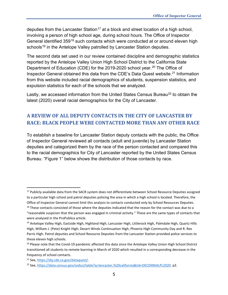deputies from the Lancaster Station<sup>[17](#page-6-1)</sup> at a block and street location of a high school, involving a person of high school age, during school hours. The Office of Inspector General identified 359<sup>[18](#page-6-2)</sup> such contacts which were conducted at or around eleven high schools<sup>[19](#page-6-3)</sup> in the Antelope Valley patrolled by Lancaster Station deputies.

The second data set used in our review contained discipline and demographic statistics reported by the Antelope Valley Union High School District to the California State Department of Education (CDE) for the 2019-2020 school year. [20](#page-6-4) The Office of Inspector General obtained this data from the CDE's Data Quest website.[21](#page-6-5) Information from this website included racial demographics of students, suspension statistics, and expulsion statistics for each of the schools that we analyzed.

Lastly, we accessed information from the United States Census Bureau<sup>22</sup> to obtain the latest (2020) overall racial demographics for the City of Lancaster.

# <span id="page-6-0"></span>**A REVIEW OF ALL DEPUTY CONTACTS IN THE CITY OF LANCASTER BY RACE: BLACK PEOPLE WERE CONTACTED MORE THAN ANY OTHER RACE**

To establish a baseline for Lancaster Station deputy contacts with the public, the Office of Inspector General reviewed all contacts (adult and juvenile) by Lancaster Station deputies and categorized them by the race of the person contacted and compared this to the racial demographics for City of Lancaster reported by the United States Census Bureau. "Figure 1" below shows the distribution of those contacts by race.

<span id="page-6-1"></span><sup>&</sup>lt;sup>17</sup> Publicly available data from the SACR system does not differentiate between School Resource Deputies assigned to a particular high school and patrol deputies policing the area in which a high school is located. Therefore, the Office of Inspector General cannot limit this analysis to contacts conducted only by School Resources Deputies. <sup>18</sup> These contacts consisted of those where the deputies indicated that the reason for the contact was due to a

<span id="page-6-2"></span><sup>&</sup>quot;reasonable suspicion that the person was engaged in criminal activity." These are the same types of contacts that were analyzed in the ProPublica article.

<span id="page-6-3"></span><sup>&</sup>lt;sup>19</sup> Antelope Valley High, Eastside High, Highland High, Lancaster High, Littlerock High, Palmdale High, Quartz Hills High, William J. (Pete) Knight High; Desert Winds Continuation High, Phoenix High Community Day and R. Rex Parris High. Patrol deputies and School Resource Deputies from the Lancaster Station provided police services to these eleven high schools.

<span id="page-6-4"></span><sup>&</sup>lt;sup>20</sup> Please note that the Covid-19 pandemic affected this data since the Antelope Valley Union High School District transitioned all students to remote learning in March of 2020 which resulted in a corresponding decrease in the frequency of school contacts.

<span id="page-6-5"></span><sup>21</sup> See, [https://dq.cde.ca.gov/dataquest/.](https://dq.cde.ca.gov/dataquest/)

<span id="page-6-6"></span><sup>22</sup> See, [https://data.census.gov/cedsci/table?q=lancaster,%20california&tid=DECENNIALPL2020.](https://data.census.gov/cedsci/table?q=lancaster,%20california&tid=DECENNIALPL2020) p2.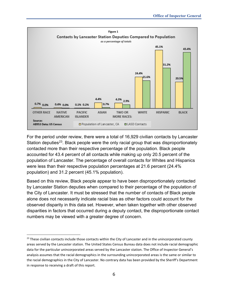

For the period under review, there were a total of 16,929 civilian contacts by Lancaster Station deputies<sup>23</sup>. Black people were the only racial group that was disproportionately contacted more than their respective percentage of the population. Black people accounted for 43.4 percent of all contacts while making up only 20.5 percent of the population of Lancaster. The percentage of overall contacts for Whites and Hispanics were less than their respective population percentages at 21.6 percent (24.4% population) and 31.2 percent (45.1% population).

Based on this review, Black people appear to have been disproportionately contacted by Lancaster Station deputies when compared to their percentage of the population of the City of Lancaster. It must be stressed that the number of contacts of Black people alone does not necessarily indicate racial bias as other factors could account for the observed disparity in this data set. However, when taken together with other observed disparities in factors that occurred during a deputy contact, the disproportionate contact numbers may be viewed with a greater degree of concern.

<span id="page-7-0"></span> $23$  These civilian contacts include those contacts within the City of Lancaster and in the unincorporated county areas served by the Lancaster station. The United States Census Bureau data does not include racial demographic data for the particular unincorporated areas served by the Lancaster station. The Office of Inspector General's analysis assumes that the racial demographics in the surrounding unincorporated areas is the same or similar to the racial demographics in the City of Lancaster. No contrary data has been provided by the Sheriff's Department in response to receiving a draft of this report.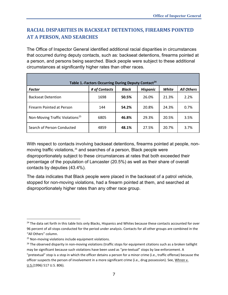# <span id="page-8-0"></span>**RACIAL DISPARITIES IN BACKSEAT DETENTIONS, FIREARMS POINTED AT A PERSON, AND SEARCHES**

The Office of Inspector General identified additional racial disparities in circumstances that occurred during deputy contacts, such as: backseat detentions, firearms pointed at a person, and persons being searched. Black people were subject to these additional circumstances at significantly higher rates than other races.

| Table 1.-Factors Occurring During Deputy Contact <sup>24</sup> |               |              |                 |       |                   |  |
|----------------------------------------------------------------|---------------|--------------|-----------------|-------|-------------------|--|
| <b>Factor</b>                                                  | # of Contacts | <b>Black</b> | <b>Hispanic</b> | White | <b>All Others</b> |  |
| <b>Backseat Detention</b>                                      | 1698          | 50.5%        | 26.0%           | 21.3% | 2.2%              |  |
| Firearm Pointed at Person                                      | 144           | 54.2%        | 20.8%           | 24.3% | 0.7%              |  |
| Non-Moving Traffic Violations <sup>25</sup>                    | 6805          | 46.8%        | 29.3%           | 20.5% | 3.5%              |  |
| Search of Person Conducted                                     | 4859          | 48.1%        | 27.5%           | 20.7% | 3.7%              |  |

With respect to contacts involving backseat detentions, firearms pointed at people, non-moving traffic violations,<sup>[26](#page-8-3)</sup> and searches of a person, Black people were disproportionately subject to these circumstances at rates that both exceeded their percentage of the population of Lancaster (20.5%) as well as their share of overall contacts by deputies (43.4%).

The data indicates that Black people were placed in the backseat of a patrol vehicle, stopped for non-moving violations, had a firearm pointed at them, and searched at disproportionately higher rates than any other race group.

<span id="page-8-1"></span><sup>&</sup>lt;sup>24</sup> The data set forth in this table lists only Blacks, Hispanics and Whites because these contacts accounted for over 96 percent of all stops conducted for the period under analysis. Contacts for all other groups are combined in the "All Others" column.

<span id="page-8-2"></span><sup>&</sup>lt;sup>25</sup> Non-moving violations include equipment violations.

<span id="page-8-3"></span> $26$  The observed disparity in non-moving violations (traffic stops for equipment citations such as a broken taillight may be significant because such violations have been used as "pre-textual" stops by law enforcement. A "pretextual" stop is a stop in which the officer detains a person for a minor crime (i.e., traffic offense) because the officer suspects the person of involvement in a more significant crime (i.e., drug possession). See, Whren v. U.S.(1996) 517 U.S. 806).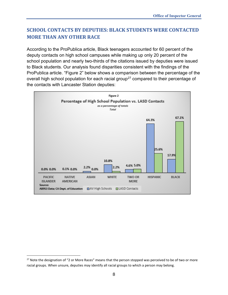# <span id="page-9-0"></span>**SCHOOL CONTACTS BY DEPUTIES: BLACK STUDENTS WERE CONTACTED MORE THAN ANY OTHER RACE**

According to the ProPublica article, Black teenagers accounted for 60 percent of the deputy contacts on high school campuses while making up only 20 percent of the school population and nearly two-thirds of the citations issued by deputies were issued to Black students. Our analysis found disparities consistent with the findings of the ProPublica article. "Figure 2" below shows a comparison between the percentage of the overall high school population for each racial group<sup>[27](#page-9-1)</sup> compared to their percentage of the contacts with Lancaster Station deputies:



<span id="page-9-1"></span><sup>&</sup>lt;sup>27</sup> Note the designation of "2 or More Races" means that the person stopped was perceived to be of two or more racial groups. When unsure, deputies may identify all racial groups to which a person may belong.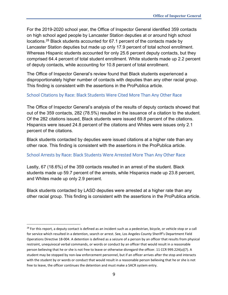For the 2019-2020 school year, the Office of Inspector General identified 359 contacts on high school aged people by Lancaster Station deputies at or around high school locations.[28](#page-10-2) Black students accounted for 67.1 percent of the contacts made by Lancaster Station deputies but made up only 17.9 percent of total school enrollment. Whereas Hispanic students accounted for only 25.6 percent deputy contacts, but they comprised 64.4 percent of total student enrollment. White students made up 2.2 percent of deputy contacts, while accounting for 10.8 percent of total enrollment.

The Office of Inspector General's review found that Black students experienced a disproportionately higher number of contacts with deputies than any other racial group. This finding is consistent with the assertions in the ProPublica article.

#### <span id="page-10-0"></span>School Citations by Race: Black Students Were Cited More Than Any Other Race

The Office of Inspector General's analysis of the results of deputy contacts showed that out of the 359 contacts, 282 (78.5%) resulted in the issuance of a citation to the student. Of the 282 citations issued, Black students were issued 69.8 percent of the citations. Hispanics were issued 24.8 percent of the citations and Whites were issues only 2.1 percent of the citations.

Black students contacted by deputies were issued citations at a higher rate than any other race. This finding is consistent with the assertions in the ProPublica article.

#### <span id="page-10-1"></span>School Arrests by Race: Black Students Were Arrested More Than Any Other Race

Lastly, 67 (18.6%) of the 359 contacts resulted in an arrest of the student. Black students made up 59.7 percent of the arrests, while Hispanics made up 23.8 percent, and Whites made up only 2.9 percent.

Black students contacted by LASD deputies were arrested at a higher rate than any other racial group. This finding is consistent with the assertions in the ProPublica article.

<span id="page-10-2"></span><sup>&</sup>lt;sup>28</sup> For this report, a deputy contact is defined as an incident such as a pedestrian, bicycle, or vehicle stop or a call for service which resulted in a detention, search or arrest. See, Los Angeles County Sheriff's Department Field Operations Directive 18-004. A detention is defined as a seizure of a person by an officer that results from physical restraint, unequivocal verbal commands, or words or conduct by an officer that would result in a reasonable person believing that he or she is not free to leave or otherwise disregard the officer. 11 CCR 999.224(a)(7). A student may be stopped by non-law enforcement personnel, but if an officer arrives after the stop and interacts with the student by or words or conduct that would result in a reasonable person believing that he or she is not free to leave, the officer continues the detention and must make a SACR system entry.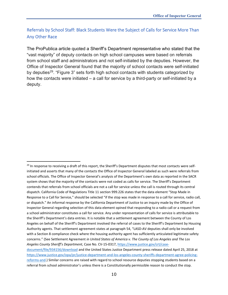<span id="page-11-0"></span>Referrals by School Staff: Black Students Were the Subject of Calls for Service More Than Any Other Race

The ProPublica article quoted a Sheriff's Department representative who stated that the "vast majority" of deputy contacts on high school campuses were based on referrals from school staff and administrators and not self-initiated by the deputies. However, the Office of Inspector General found that the majority of school contacts were self-initiated by deputies<sup>29</sup>. "Figure 3" sets forth high school contacts with students categorized by how the contacts were initiated – a call for service by a third-party or self-initiated by a deputy.

<span id="page-11-1"></span> $29$  In response to receiving a draft of this report, the Sheriff's Department disputes that most contacts were selfinitiated and asserts that many of the contacts the Office of Inspector General labeled as such were referrals from school officials. The Office of Inspector General's analysis of the Department's own data as reported in the SACR system shows that the majority of the contacts were not coded as calls for service. The Sheriff's Department contends that referrals from school officials are not a call for service unless the call is routed through its central dispatch. California Code of Regulations Title 11 section 999.226 states that the data element "Stop Made in Response to a Call for Service," should be selected "if the stop was made in response to a call for service, radio call, or dispatch." An informal response by the California Department of Justice to an inquiry made by the Office of Inspector General regarding selection of this data element opined that responding to a radio call or a request from a school administrator constitutes a call for service. Any under representation of calls for service is attributable to the Sheriff's Department's data entries. It is notable that a settlement agreement between the County of Los Angeles on behalf of the Sheriff's Department involved the referral of cases to the Sheriff's Department by Housing Authority agents. That settlement agreement states at paragraph 54, "LASD-AV deputies shall only be involved with a Section 8 compliance check where the housing authority agent has sufficiently articulated legitimate safety concerns." (See Settlement Agreement *in United States of America v. The County of Los Angeles and The Los Angeles County Sheriff's Department*, Case No. CV-15-0317[, https://www.justice.gov/crt/case](https://www.justice.gov/crt/case-document/file/934156/download)[document/file/934156/download](https://www.justice.gov/crt/case-document/file/934156/download) and the United States Justice Department press release dated April 25, 2018 at [https://www.justice.gov/opa/pr/justice-department-and-los-angeles-county-sheriffs-department-agree-policing](https://www.justice.gov/opa/pr/justice-department-and-los-angeles-county-sheriffs-department-agree-policing-reforms-and)[reforms-and.](https://www.justice.gov/opa/pr/justice-department-and-los-angeles-county-sheriffs-department-agree-policing-reforms-and)) Similar concerns are raised with regard to school resource deputies stopping students based on a referral from school administrator's unless there is a Constitutionally permissible reason to conduct the stop.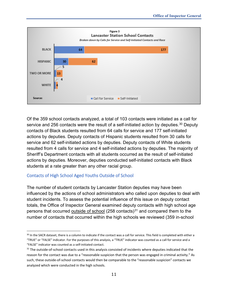

Of the 359 school contacts analyzed, a total of 103 contacts were initiated as a call for service and 256 contacts were the result of a self-initiated action by deputies.<sup>[30](#page-12-1)</sup> Deputy contacts of Black students resulted from 64 calls for service and 177 self-initiated actions by deputies. Deputy contacts of Hispanic students resulted from 30 calls for service and 62 self-initiated actions by deputies. Deputy contacts of White students resulted from 4 calls for service and 4 self-initiated actions by deputies. The majority of Sheriff's Department contacts with all students occurred as the result of self-initiated actions by deputies. Moreover, deputies conducted self-initiated contacts with Black students at a rate greater than any other racial group.

#### <span id="page-12-0"></span>Contacts of High School Aged Youths Outside of School

The number of student contacts by Lancaster Station deputies may have been influenced by the actions of school administrators who called upon deputies to deal with student incidents. To assess the potential influence of this issue on deputy contact totals, the Office of Inspector General examined deputy contacts with high school age persons that occurred outside of school (258 contacts)<sup>[31](#page-12-2)</sup> and compared them to the number of contacts that occurred within the high schools we reviewed (359 in-school

<span id="page-12-1"></span><sup>&</sup>lt;sup>30</sup> In the SACR dataset, there is a column to indicate if the contact was a call for service. This field is completed with either a "TRUE" or "FALSE" indicator. For the purposes of this analysis, a "TRUE" indicator was counted as a call for service and a "FALSE" indicator was counted as a self-initiated contact.

<span id="page-12-2"></span><sup>&</sup>lt;sup>31</sup> The outside-of-school contacts used in this analysis consisted of incidents where deputies indicated that the reason for the contact was due to a "reasonable suspicion that the person was engaged in criminal activity." As such, these outside-of-school contacts would then be comparable to the "reasonable suspicion" contacts we analyzed which were conducted in the high schools.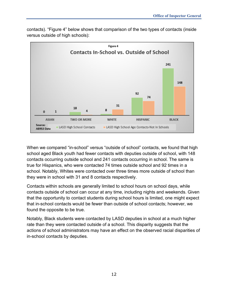

contacts). "Figure 4" below shows that comparison of the two types of contacts (inside versus outside of high schools):

When we compared "in-school" versus "outside of school" contacts, we found that high school aged Black youth had fewer contacts with deputies outside of school, with 148 contacts occurring outside school and 241 contacts occurring in school. The same is true for Hispanics, who were contacted 74 times outside school and 92 times in a school. Notably, Whites were contacted over three times more outside of school than they were in school with 31 and 8 contacts respectively.

Contacts within schools are generally limited to school hours on school days, while contacts outside of school can occur at any time, including nights and weekends. Given that the opportunity to contact students during school hours is limited, one might expect that in-school contacts would be fewer than outside of school contacts; however, we found the opposite to be true.

Notably, Black students were contacted by LASD deputies in school at a much higher rate than they were contacted outside of a school. This disparity suggests that the actions of school administrators may have an effect on the observed racial disparities of in-school contacts by deputies.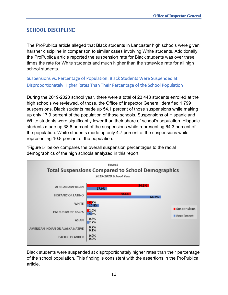# <span id="page-14-0"></span>**SCHOOL DISCIPLINE**

The ProPublica article alleged that Black students in Lancaster high schools were given harsher discipline in comparison to similar cases involving White students. Additionally, the ProPublica article reported the suspension rate for Black students was over three times the rate for White students and much higher than the statewide rate for all high school students.

<span id="page-14-1"></span>Suspensions vs. Percentage of Population: Black Students Were Suspended at Disproportionately Higher Rates Than Their Percentage of the School Population

During the 2019-2020 school year, there were a total of 23,443 students enrolled at the high schools we reviewed, of those, the Office of Inspector General identified 1,799 suspensions. Black students made up 54.1 percent of those suspensions while making up only 17.9 percent of the population of those schools. Suspensions of Hispanic and White students were significantly lower than their share of school's population. Hispanic students made up 38.6 percent of the suspensions while representing 64.3 percent of the population. White students made up only 4.7 percent of the suspensions while representing 10.8 percent of the population.

"Figure 5" below compares the overall suspension percentages to the racial demographics of the high schools analyzed in this report.



Black students were suspended at disproportionately higher rates than their percentage of the school population. This finding is consistent with the assertions in the ProPublica article.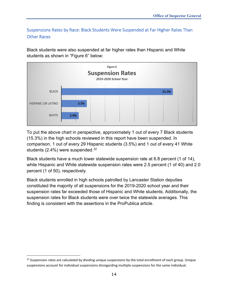<span id="page-15-0"></span>Suspensions Rates by Race: Black Students Were Suspended at Far Higher Rates Than Other Races

Black students were also suspended at far higher rates than Hispanic and White students as shown in "Figure 6" below:



To put the above chart in perspective, approximately 1 out of every 7 Black students (15.3%) in the high schools reviewed in this report have been suspended. In comparison, 1 out of every 29 Hispanic students (3.5%) and 1 out of every 41 White students (2.4%) were suspended.<sup>[32](#page-15-1)</sup>

Black students have a much lower statewide suspension rate at 6.8 percent (1 of 14), while Hispanic and White statewide suspension rates were 2.5 percent (1 of 40) and 2.0 percent (1 of 50), respectively.

Black students enrolled in high schools patrolled by Lancaster Station deputies constituted the majority of all suspensions for the 2019-2020 school year and their suspension rates far exceeded those of Hispanic and White students. Additionally, the suspension rates for Black students were over twice the statewide averages. This finding is consistent with the assertions in the ProPublica article.

<span id="page-15-1"></span> $32$  Suspension rates are calculated by dividing unique suspensions by the total enrollment of each group. Unique suspensions account for individual suspensions disregarding multiple suspensions for the same individual.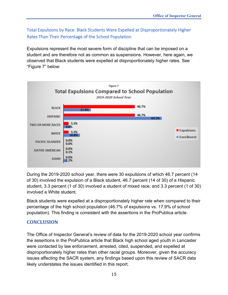<span id="page-16-0"></span>Total Expulsions by Race: Black Students Were Expelled at Disproportionately Higher Rates Than Their Percentage of the School Population

Expulsions represent the most severe form of discipline that can be imposed on a student and are therefore not as common as suspensions. However, here again, we observed that Black students were expelled at disproportionately higher rates. See "Figure 7" below:



During the 2019-2020 school year, there were 30 expulsions of which 46.7 percent (14 of 30) involved the expulsion of a Black student, 46.7 percent (14 of 30) of a Hispanic student, 3.3 percent (1 of 30) involved a student of mixed race, and 3.3 percent (1 of 30) involved a White student.

Black students were expelled at a disproportionately higher rate when compared to their percentage of the high school population (46.7% of expulsions vs. 17.9% of school population). This finding is consistent with the assertions in the ProPublica article.

## <span id="page-16-1"></span>**CONCLUSION**

The Office of Inspector General's review of data for the 2019-2020 school year confirms the assertions in the ProPublica article that Black high school aged youth in Lancaster were contacted by law enforcement, arrested, cited, suspended, and expelled at disproportionately higher rates than other racial groups. Moreover, given the accuracy issues affecting the SACR system, any findings based upon this review of SACR data likely understates the issues identified in this report.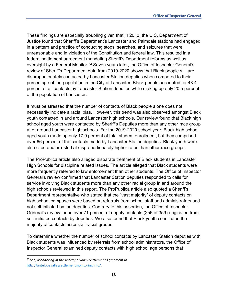These findings are especially troubling given that in 2013, the U.S. Department of Justice found that Sheriff's Department's Lancaster and Palmdale stations had engaged in a pattern and practice of conducting stops, searches, and seizures that were unreasonable and in violation of the Constitution and federal law. This resulted in a federal settlement agreement mandating Sheriff's Department reforms as well as oversight by a Federal Monitor.<sup>[33](#page-17-0)</sup> Seven years later, the Office of Inspector General's review of Sheriff's Department data from 2019-2020 shows that Black people still are disproportionately contacted by Lancaster Station deputies when compared to their percentage of the population in the City of Lancaster. Black people accounted for 43.4 percent of all contacts by Lancaster Station deputies while making up only 20.5 percent of the population of Lancaster.

It must be stressed that the number of contacts of Black people alone does not necessarily indicate a racial bias. However, this trend was also observed amongst Black youth contacted in and around Lancaster high schools. Our review found that Black high school aged youth were contacted by Sheriff's Deputies more than any other race group at or around Lancaster high schools. For the 2019-2020 school year, Black high school aged youth made up only 17.9 percent of total student enrollment, but they comprised over 66 percent of the contacts made by Lancaster Station deputies. Black youth were also cited and arrested at disproportionately higher rates than other race groups.

The ProPublica article also alleged disparate treatment of Black students in Lancaster High Schools for discipline related issues. The article alleged that Black students were more frequently referred to law enforcement than other students. The Office of Inspector General's review confirmed that Lancaster Station deputies responded to calls for service involving Black students more than any other racial group in and around the high schools reviewed in this report. The ProPublica article also quoted a Sheriff's Department representative who stated that the "vast majority" of deputy contacts on high school campuses were based on referrals from school staff and administrators and not self-initiated by the deputies. Contrary to this assertion, the Office of Inspector General's review found over 71 percent of deputy contacts (256 of 359) originated from self-initiated contacts by deputies. We also found that Black youth constituted the majority of contacts across all racial groups.

To determine whether the number of school contacts by Lancaster Station deputies with Black students was influenced by referrals from school administrators, the Office of Inspector General examined deputy contacts with high school age persons that

<span id="page-17-0"></span><sup>33</sup> See, *Monitoring of the Antelope Valley Settlement Agreement* at [http://antelopevalleysettlementmonitoring.info/.](http://antelopevalleysettlementmonitoring.info/)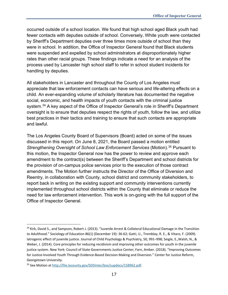occurred outside of a school location. We found that high school aged Black youth had fewer contacts with deputies outside of school. Conversely, White youth were contacted by Sheriff's Department deputies over three times more outside of school than they were in school. In addition, the Office of Inspector General found that Black students were suspended and expelled by school administrators at disproportionately higher rates than other racial groups. These findings indicate a need for an analysis of the process used by Lancaster high school staff to refer in school student incidents for handling by deputies.

All stakeholders in Lancaster and throughout the County of Los Angeles must appreciate that law enforcement contacts can have serious and life-altering effects on a child. An ever-expanding volume of scholarly literature has documented the negative social, economic, and health impacts of youth contacts with the criminal justice system. [34](#page-18-0) A key aspect of the Office of Inspector General's role in Sheriff's Department oversight is to ensure that deputies respect the rights of youth, follow the law, and utilize best practices in their tactics and training to ensure that such contacts are appropriate and lawful.

The Los Angeles County Board of Supervisors (Board) acted on some of the issues discussed in this report. On June 8, 2021, the Board passed a motion entitled *Strengthening Oversight of School Law Enforcement Services* (Motion).[35](#page-18-1) Pursuant to this motion, the Inspector General now has the power to review and approve each amendment to the contract(s) between the Sheriff's Department and school districts for the provision of on-campus police services prior to the execution of those contract amendments. The Motion further instructs the Director of the Office of Diversion and Reentry, in collaboration with County, school district and community stakeholders, to report back in writing on the existing support and community interventions currently implemented throughout school districts within the County that eliminate or reduce the need for law enforcement intervention. This work is on-going with the full support of the Office of Inspector General.

<span id="page-18-0"></span><sup>34</sup> Kirk, David S., and Sampson, Robert J. (2013). "Juvenile Arrest & Collateral Educational Damage in the Transition to Adulthood." Sociology of Education 86(1) (December 19): 36-62; Gatti, U., Tremblay, R. E., & Vitaro, F. (2009). Iatrogenic effect of juvenile justice. Journal of Child Psychology & Psychiatry, 50, 991–998; Seigle, E.,Walsh, N., & Weber, J. (2014). Core principles for reducing recidivism and improving other outcomes for youth in the juvenile justice system. New York: Council of State Governments Justice Center; Farn, Amber. (2018). "Improving Outcomes for Justice-Involved Youth Through Evidence-Based Decision Making and Diversion." Center for Justice Reform, Georgetown University.

<span id="page-18-1"></span><sup>35</sup> See Motion at [http://file.lacounty.gov/SDSInter/bos/supdocs/158962.pdf.](http://file.lacounty.gov/SDSInter/bos/supdocs/158962.pdf)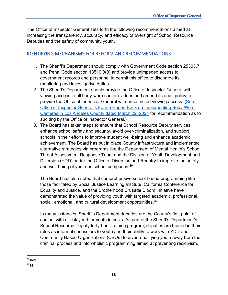The Office of Inspector General sets forth the following recommendations aimed at increasing the transparency, accuracy, and efficacy of oversight of School Resource Deputies and the safety of community youth.

#### <span id="page-19-0"></span>IDENTIFYING MECHANISMS FOR REFORM AND RECOMMENDATIONS

- 1. The Sheriff's Department should comply with Government Code section 25303.7 and Penal Code section 13510.8(8) and provide unimpeded access to government records and personnel to permit this office to discharge its monitoring and investigative duties.
- 2. The Sheriff's Department should provide the Office of Inspector General with viewing access to all body-worn camera videos and amend its audit policy to provide the Office of Inspector General with unrestricted viewing access. [\(See](https://assets-us-01.kc-usercontent.com/0234f496-d2b7-00b6-17a4-b43e949b70a2/13d916da-eb46-47f2-9d85-aeeb9f3bd8de/2019-00366BWC4thReportBack_Final.pdf)  Office of Inspector General's [Fourth Report Back on Implementing Body-Worn](https://assets-us-01.kc-usercontent.com/0234f496-d2b7-00b6-17a4-b43e949b70a2/13d916da-eb46-47f2-9d85-aeeb9f3bd8de/2019-00366BWC4thReportBack_Final.pdf)  [Cameras in Los Angeles County dated March 22, 2021](https://assets-us-01.kc-usercontent.com/0234f496-d2b7-00b6-17a4-b43e949b70a2/13d916da-eb46-47f2-9d85-aeeb9f3bd8de/2019-00366BWC4thReportBack_Final.pdf) for recommendation as to auditing by the Office of Inspector General.)
- 3. The Board has taken steps to ensure that School Resource Deputy services enhance school safety and security, avoid over-criminalization, and support schools in their efforts to improve student well-being and enhance academic achievement. The Board has put in place County infrastructure and implemented alternative strategies via programs like the Department of Mental Health's School Threat Assessment Response Team and the Division of Youth Development and Diversion (YDD) under the Office of Diversion and Reentry to improve the safety and well-being of youth on school campuses.<sup>[36](#page-19-1)</sup>

The Board has also noted that comprehensive school-based programming like those facilitated by Social Justice Learning Institute, California Conference for Equality and Justice, and the Brotherhood Crusade Bloom Initiative have demonstrated the value of providing youth with targeted academic, professional, social, emotional, and cultural development opportunities.<sup>[37](#page-19-2)</sup>

In many instances, Sheriff's Department deputies are the County's first point of contact with at-risk youth or youth in crisis. As part of the Sheriff's Department's School Resource Deputy forty-hour training program, deputies are trained in their roles as informal counselors to youth and their ability to work with YDD and Community Based Organizations (CBOs) to divert qualifying youth away from the criminal process and into wholistic programming aimed at preventing recidivism.

<span id="page-19-1"></span> $36$  Ibid.

<span id="page-19-2"></span> $37$  Id.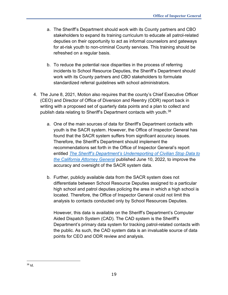- a. The Sheriff's Department should work with its County partners and CBO stakeholders to expand its training curriculum to educate all patrol-related deputies on their opportunity to act as informal counselors and gateways for at-risk youth to non-criminal County services. This training should be refreshed on a regular basis.
- b. To reduce the potential race disparities in the process of referring incidents to School Resource Deputies, the Sheriff's Department should work with its County partners and CBO stakeholders to formulate standardized referral guidelines with school administrators.
- 4. The June 8, 2021, Motion also requires that the county's Chief Executive Officer (CEO) and Director of Office of Diversion and Reentry (ODR) report back in writing with a proposed set of quarterly data points and a plan to collect and publish data relating to Sheriff's Department contacts with youth.<sup>[38](#page-20-0)</sup>
	- a. One of the main sources of data for Sheriff's Department contacts with youth is the SACR system. However, the Office of Inspector General has found that the SACR system suffers from significant accuracy issues. Therefore, the Sheriff's Department should implement the recommendations set forth in the Office of Inspector General's report entitled *[The Sheriff's Department's Underreporting of Civilian Stop Data to](https://assets-us-01.kc-usercontent.com/0234f496-d2b7-00b6-17a4-b43e949b70a2/ee467145-85c7-450c-a739-93e1f1d79f78/The%20Sheriff%E2%80%99s%20Department%E2%80%99s%20Underreporting%20of%20Civilian%20Stop%20Data%20to%20the%20California%20Attorney%20General.pdf.)  [the California Attorney General](https://assets-us-01.kc-usercontent.com/0234f496-d2b7-00b6-17a4-b43e949b70a2/ee467145-85c7-450c-a739-93e1f1d79f78/The%20Sheriff%E2%80%99s%20Department%E2%80%99s%20Underreporting%20of%20Civilian%20Stop%20Data%20to%20the%20California%20Attorney%20General.pdf.)* published June 10, 2022, to improve the accuracy and oversight of the SACR system data.
	- b. Further, publicly available data from the SACR system does not differentiate between School Resource Deputies assigned to a particular high school and patrol deputies policing the area in which a high school is located. Therefore, the Office of Inspector General could not limit this analysis to contacts conducted only by School Resources Deputies.

However, this data is available on the Sheriff's Department's Computer Aided Dispatch System (CAD). The CAD system is the Sheriff's Department's primary data system for tracking patrol-related contacts with the public. As such, the CAD system data is an invaluable source of data points for CEO and ODR review and analysis.

<span id="page-20-0"></span><sup>38</sup> Id.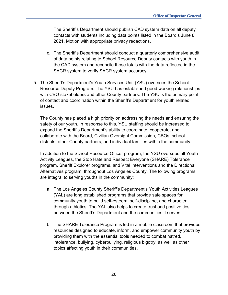The Sheriff's Department should publish CAD system data on all deputy contacts with students including data points listed in the Board's June 8, 2021, Motion with appropriate privacy redactions.

- c. The Sheriff's Department should conduct a quarterly comprehensive audit of data points relating to School Resource Deputy contacts with youth in the CAD system and reconcile those totals with the data reflected in the SACR system to verify SACR system accuracy.
- 5. The Sheriff's Department's Youth Services Unit (YSU) oversees the School Resource Deputy Program. The YSU has established good working relationships with CBO stakeholders and other County partners. The YSU is the primary point of contact and coordination within the Sheriff's Department for youth related issues.

The County has placed a high priority on addressing the needs and ensuring the safety of our youth. In response to this, YSU staffing should be increased to expand the Sheriff's Department's ability to coordinate, cooperate, and collaborate with the Board, Civilian Oversight Commission, CBOs, school districts, other County partners, and individual families within the community.

In addition to the School Resource Officer program, the YSU oversees all Youth Activity Leagues, the Stop Hate and Respect Everyone (SHARE) Tolerance program, Sheriff Explorer programs, and Vital Interventions and the Directional Alternatives program, throughout Los Angeles County. The following programs are integral to serving youths in the community:

- a. The Los Angeles County Sheriff's Department's Youth Activities Leagues (YAL) are long established programs that provide safe spaces for community youth to build self-esteem, self-discipline, and character through athletics. The YAL also helps to create trust and positive ties between the Sheriff's Department and the communities it serves.
- b. The SHARE Tolerance Program is led in a mobile classroom that provides resources designed to educate, inform, and empower community youth by providing them with the essential tools needed to combat hatred, intolerance, bullying, cyberbullying, religious bigotry, as well as other topics affecting youth in their communities.